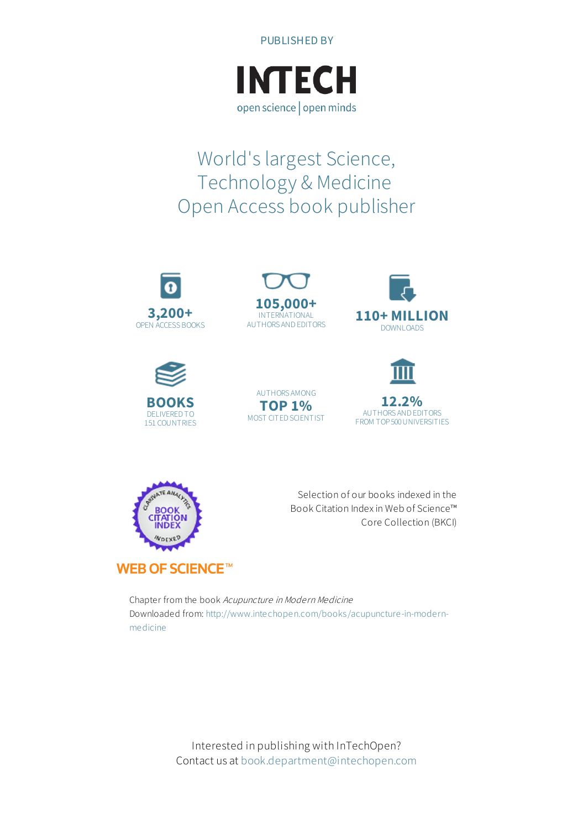



# World's largest Science, Technology & Medicine Open Access book publisher









AUTHORS AMONG **TOP 1%** MOST CITED SCIENTIST





Selection of our books indexed in the Book Citation Index in Web of Science™ Core Collection (BKCI)

Chapter from the book Acupuncture in Modern Medicine Downloaded from: [http://www.intechopen.com/books/acupuncture-in-modern](http://www.intechopen.com/books/acupuncture-in-modern-medicine)medicine

> Interested in publishing with InTechOpen? Contact us at [book.department@intechopen.com](mailto:book.department@intechopen.com)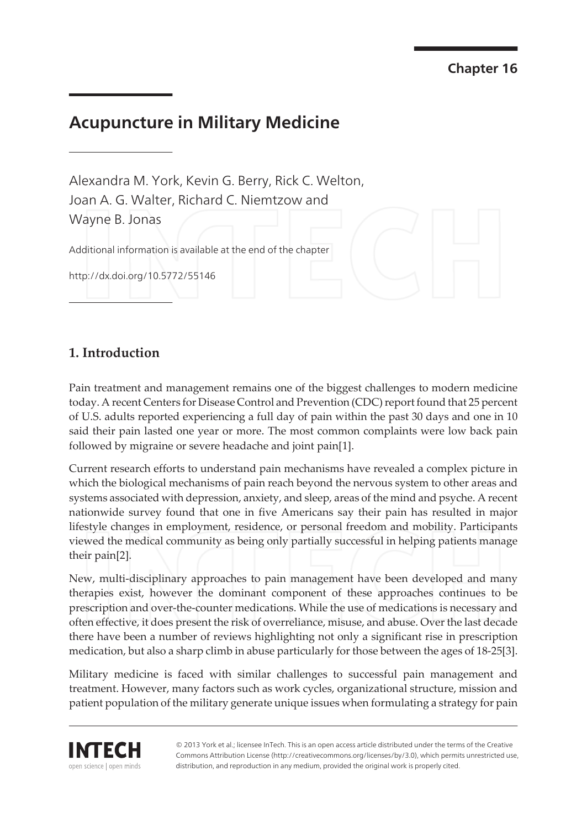# **Acupuncture in Military Medicine**

Alexandra M. York, Kevin G. Berry, Rick C. Welton, Joan A. G. Walter, Richard C. Niemtzow and Wayne B. Jonas

Additional information is available at the end of the chapter

http://dx.doi.org/10.5772/55146

# 1. Introduction

Pain treatment and management remains one of the biggest challenges to modern medicine today. A recent Centers for Disease Control and Prevention (CDC) report found that 25 percent of U.S. adults reported experiencing a full day of pain within the past 30 days and one in 10 said their pain lasted one year or more. The most common complaints were low back pain followed by migraine or severe headache and joint pain[1].

Current research efforts to understand pain mechanisms have revealed a complex picture in which the biological mechanisms of pain reach beyond the nervous system to other areas and systems associated with depression, anxiety, and sleep, areas of the mind and psyche. A recent nationwide survey found that one in five Americans say their pain has resulted in major lifestyle changes in employment, residence, or personal freedom and mobility. Participants viewed the medical community as being only partially successful in helping patients manage their pain[2].

New, multi-disciplinary approaches to pain management have been developed and many therapies exist, however the dominant component of these approaches continues to be prescription and over-the-counter medications. While the use of medications is necessary and often effective, it does present the risk of overreliance, misuse, and abuse. Over the last decade there have been a number of reviews highlighting not only a significant rise in prescription medication, but also a sharp climb in abuse particularly for those between the ages of 18-25[3].

Military medicine is faced with similar challenges to successful pain management and treatment. However, many factors such as work cycles, organizational structure, mission and patient population of the military generate unique issues when formulating a strategy for pain



© 2013 York et al.; licensee InTech. This is an open access article distributed under the terms of the Creative Commons Attribution License (http://creativecommons.org/licenses/by/3.0), which permits unrestricted use, distribution, and reproduction in any medium, provided the original work is properly cited.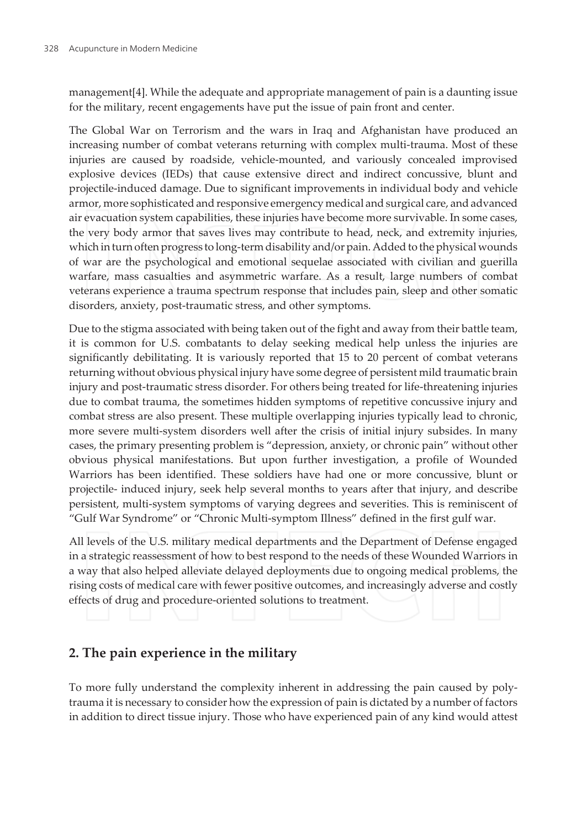management[4]. While the adequate and appropriate management of pain is a daunting issue for the military, recent engagements have put the issue of pain front and center.

The Global War on Terrorism and the wars in Iraq and Afghanistan have produced an increasing number of combat veterans returning with complex multi-trauma. Most of these injuries are caused by roadside, vehicle-mounted, and variously concealed improvised explosive devices (IEDs) that cause extensive direct and indirect concussive, blunt and projectile-induced damage. Due to significant improvements in individual body and vehicle armor, more sophisticated and responsive emergency medical and surgical care, and advanced air evacuation system capabilities, these injuries have become more survivable. In some cases, the very body armor that saves lives may contribute to head, neck, and extremity injuries, which in turn often progress to long-term disability and/or pain. Added to the physical wounds of war are the psychological and emotional sequelae associated with civilian and guerilla warfare, mass casualties and asymmetric warfare. As a result, large numbers of combat veterans experience a trauma spectrum response that includes pain, sleep and other somatic disorders, anxiety, post-traumatic stress, and other symptoms.

Due to the stigma associated with being taken out of the fight and away from their battle team, it is common for U.S. combatants to delay seeking medical help unless the injuries are significantly debilitating. It is variously reported that 15 to 20 percent of combat veterans returning without obvious physical injury have some degree of persistent mild traumatic brain injury and post-traumatic stress disorder. For others being treated for life-threatening injuries due to combat trauma, the sometimes hidden symptoms of repetitive concussive injury and combat stress are also present. These multiple overlapping injuries typically lead to chronic, more severe multi-system disorders well after the crisis of initial injury subsides. In many cases, the primary presenting problem is "depression, anxiety, or chronic pain" without other obvious physical manifestations. But upon further investigation, a profile of Wounded Warriors has been identified. These soldiers have had one or more concussive, blunt or projectile- induced injury, seek help several months to years after that injury, and describe persistent, multi-system symptoms of varying degrees and severities. This is reminiscent of "Gulf War Syndrome" or "Chronic Multi-symptom Illness" defined in the first gulf war.

All levels of the U.S. military medical departments and the Department of Defense engaged in a strategic reassessment of how to best respond to the needs of these Wounded Warriors in a way that also helped alleviate delayed deployments due to ongoing medical problems, the rising costs of medical care with fewer positive outcomes, and increasingly adverse and costly effects of drug and procedure-oriented solutions to treatment.

# 2. The pain experience in the military

To more fully understand the complexity inherent in addressing the pain caused by polytrauma it is necessary to consider how the expression of pain is dictated by a number of factors in addition to direct tissue injury. Those who have experienced pain of any kind would attest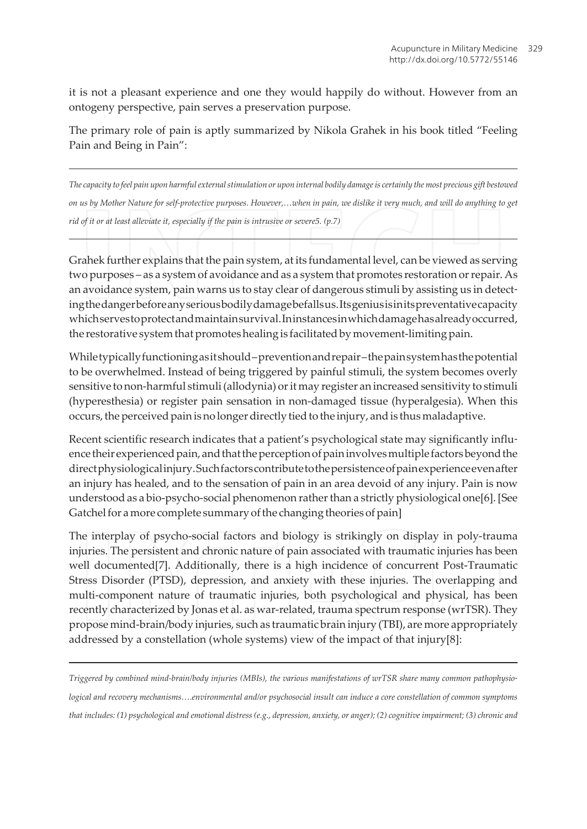it is not a pleasant experience and one they would happily do without. However from an ontogeny perspective, pain serves a preservation purpose.

The primary role of pain is aptly summarized by Nikola Grahek in his book titled "Feeling Pain and Being in Pain":

The capacity to feel pain upon harmful external stimulation or upon internal bodily damage is certainly the most precious gift bestowed on us by Mother Nature for self-protective purposes. However....when in pain, we dislike it very much, and will do anything to get rid of it or at least alleviate it, especially if the pain is intrusive or severe5. (p.7)

Grahek further explains that the pain system, at its fundamental level, can be viewed as serving two purposes - as a system of avoidance and as a system that promotes restoration or repair. As an avoidance system, pain warns us to stay clear of dangerous stimuli by assisting us in detecting the danger before any serious bodily damage befalls us. Its genius is in its preventative capacity which serves to protect and maintain survival. In instances in which damage has already occurred, the restorative system that promotes healing is facilitated by movement-limiting pain.

While typically functioning as it should - prevention and repair - the pain system has the potential to be overwhelmed. Instead of being triggered by painful stimuli, the system becomes overly sensitive to non-harmful stimuli (allodynia) or it may register an increased sensitivity to stimuli (hyperesthesia) or register pain sensation in non-damaged tissue (hyperalgesia). When this occurs, the perceived pain is no longer directly tied to the injury, and is thus maladaptive.

Recent scientific research indicates that a patient's psychological state may significantly influence their experienced pain, and that the perception of pain involves multiple factors beyond the direct physiological injury. Such factors contribute to the persistence of pain experience even after an injury has healed, and to the sensation of pain in an area devoid of any injury. Pain is now understood as a bio-psycho-social phenomenon rather than a strictly physiological one[6]. [See Gatchel for a more complete summary of the changing theories of pain]

The interplay of psycho-social factors and biology is strikingly on display in poly-trauma injuries. The persistent and chronic nature of pain associated with traumatic injuries has been well documented[7]. Additionally, there is a high incidence of concurrent Post-Traumatic Stress Disorder (PTSD), depression, and anxiety with these injuries. The overlapping and multi-component nature of traumatic injuries, both psychological and physical, has been recently characterized by Jonas et al. as war-related, trauma spectrum response (wrTSR). They propose mind-brain/body injuries, such as traumatic brain injury (TBI), are more appropriately addressed by a constellation (whole systems) view of the impact of that injury[8]:

Triggered by combined mind-brain/body injuries (MBIs), the various manifestations of wrTSR share many common pathophysiological and recovery mechanisms....environmental and/or psychosocial insult can induce a core constellation of common symptoms that includes: (1) psychological and emotional distress (e.g., depression, anxiety, or anger); (2) cognitive impairment; (3) chronic and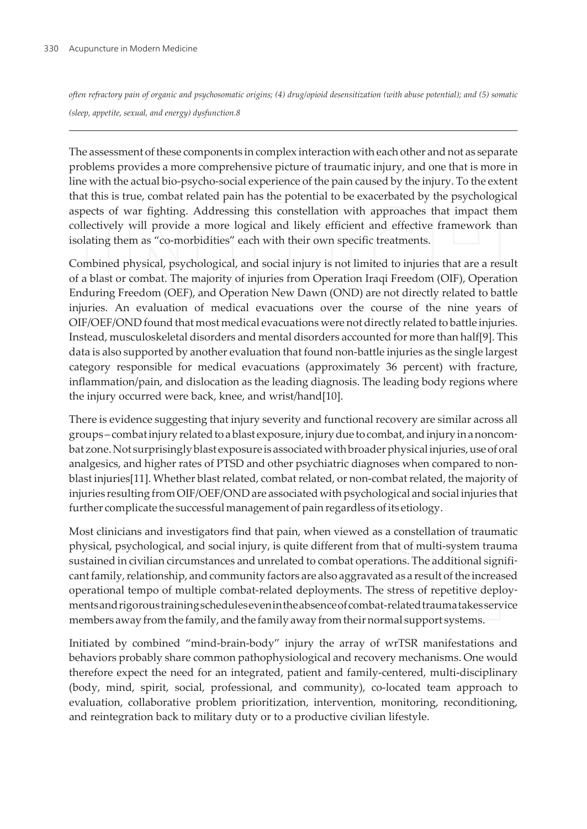often refractory pain of organic and psychosomatic origins; (4) drug/opioid desensitization (with abuse potential); and (5) somatic (sleep, appetite, sexual, and energy) dysfunction.8

The assessment of these components in complex interaction with each other and not as separate problems provides a more comprehensive picture of traumatic injury, and one that is more in line with the actual bio-psycho-social experience of the pain caused by the injury. To the extent that this is true, combat related pain has the potential to be exacerbated by the psychological aspects of war fighting. Addressing this constellation with approaches that impact them collectively will provide a more logical and likely efficient and effective framework than isolating them as "co-morbidities" each with their own specific treatments.

Combined physical, psychological, and social injury is not limited to injuries that are a result of a blast or combat. The majority of injuries from Operation Iraqi Freedom (OIF), Operation Enduring Freedom (OEF), and Operation New Dawn (OND) are not directly related to battle injuries. An evaluation of medical evacuations over the course of the nine years of OIF/OEF/OND found that most medical evacuations were not directly related to battle injuries. Instead, musculoskeletal disorders and mental disorders accounted for more than half[9]. This data is also supported by another evaluation that found non-battle injuries as the single largest category responsible for medical evacuations (approximately 36 percent) with fracture, inflammation/pain, and dislocation as the leading diagnosis. The leading body regions where the injury occurred were back, knee, and wrist/hand[10].

There is evidence suggesting that injury severity and functional recovery are similar across all groups-combat injury related to a blast exposure, injury due to combat, and injury in a noncombat zone. Not surprisingly blast exposure is associated with broader physical injuries, use of oral analgesics, and higher rates of PTSD and other psychiatric diagnoses when compared to nonblast injuries[11]. Whether blast related, combat related, or non-combat related, the majority of injuries resulting from OIF/OEF/OND are associated with psychological and social injuries that further complicate the successful management of pain regardless of its etiology.

Most clinicians and investigators find that pain, when viewed as a constellation of traumatic physical, psychological, and social injury, is quite different from that of multi-system trauma sustained in civilian circumstances and unrelated to combat operations. The additional significant family, relationship, and community factors are also aggravated as a result of the increased operational tempo of multiple combat-related deployments. The stress of repetitive deployments and rigorous training schedules even in the absence of combat-related trauma takes service members away from the family, and the family away from their normal support systems.

Initiated by combined "mind-brain-body" injury the array of wrTSR manifestations and behaviors probably share common pathophysiological and recovery mechanisms. One would therefore expect the need for an integrated, patient and family-centered, multi-disciplinary (body, mind, spirit, social, professional, and community), co-located team approach to evaluation, collaborative problem prioritization, intervention, monitoring, reconditioning, and reintegration back to military duty or to a productive civilian lifestyle.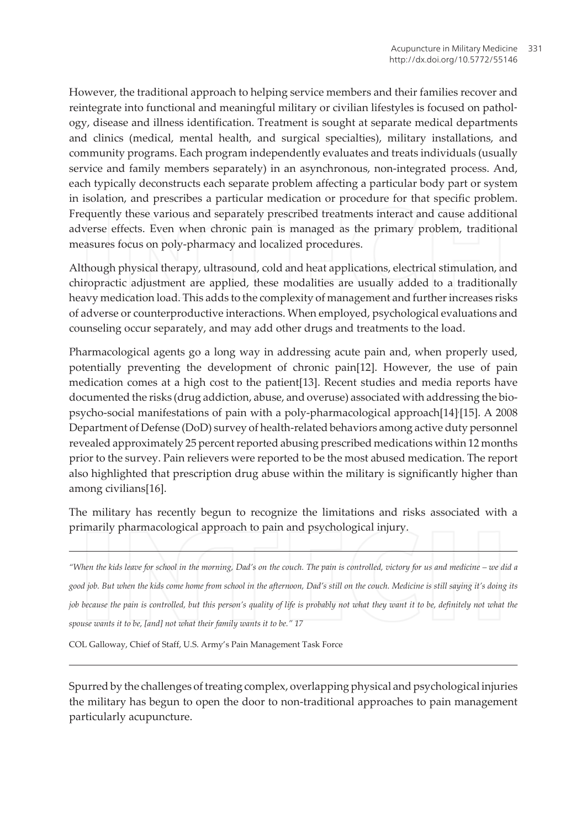However, the traditional approach to helping service members and their families recover and reintegrate into functional and meaningful military or civilian lifestyles is focused on pathology, disease and illness identification. Treatment is sought at separate medical departments and clinics (medical, mental health, and surgical specialties), military installations, and community programs. Each program independently evaluates and treats individuals (usually service and family members separately) in an asynchronous, non-integrated process. And, each typically deconstructs each separate problem affecting a particular body part or system in isolation, and prescribes a particular medication or procedure for that specific problem. Frequently these various and separately prescribed treatments interact and cause additional adverse effects. Even when chronic pain is managed as the primary problem, traditional measures focus on poly-pharmacy and localized procedures.

Although physical therapy, ultrasound, cold and heat applications, electrical stimulation, and chiropractic adjustment are applied, these modalities are usually added to a traditionally heavy medication load. This adds to the complexity of management and further increases risks of adverse or counterproductive interactions. When employed, psychological evaluations and counseling occur separately, and may add other drugs and treatments to the load.

Pharmacological agents go a long way in addressing acute pain and, when properly used, potentially preventing the development of chronic pain[12]. However, the use of pain medication comes at a high cost to the patient[13]. Recent studies and media reports have documented the risks (drug addiction, abuse, and overuse) associated with addressing the biopsycho-social manifestations of pain with a poly-pharmacological approach[14] [15]. A 2008 Department of Defense (DoD) survey of health-related behaviors among active duty personnel revealed approximately 25 percent reported abusing prescribed medications within 12 months prior to the survey. Pain relievers were reported to be the most abused medication. The report also highlighted that prescription drug abuse within the military is significantly higher than among civilians[16].

The military has recently begun to recognize the limitations and risks associated with a primarily pharmacological approach to pain and psychological injury.

"When the kids leave for school in the morning, Dad's on the couch. The pain is controlled, victory for us and medicine - we did a good job. But when the kids come home from school in the afternoon, Dad's still on the couch. Medicine is still saying it's doing its job because the pain is controlled, but this person's quality of life is probably not what they want it to be, definitely not what the spouse wants it to be, [and] not what their family wants it to be." 17

COL Galloway, Chief of Staff, U.S. Army's Pain Management Task Force

Spurred by the challenges of treating complex, overlapping physical and psychological injuries the military has begun to open the door to non-traditional approaches to pain management particularly acupuncture.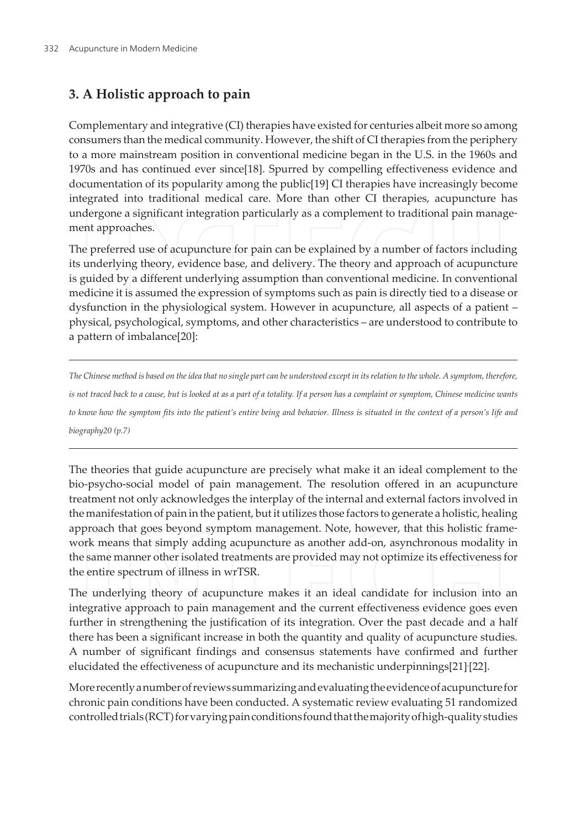#### 3. A Holistic approach to pain

Complementary and integrative (CI) therapies have existed for centuries albeit more so among consumers than the medical community. However, the shift of CI therapies from the periphery to a more mainstream position in conventional medicine began in the U.S. in the 1960s and 1970s and has continued ever since[18]. Spurred by compelling effectiveness evidence and documentation of its popularity among the public[19] CI therapies have increasingly become integrated into traditional medical care. More than other CI therapies, acupuncture has undergone a significant integration particularly as a complement to traditional pain management approaches.

The preferred use of acupuncture for pain can be explained by a number of factors including its underlying theory, evidence base, and delivery. The theory and approach of acupuncture is guided by a different underlying assumption than conventional medicine. In conventional medicine it is assumed the expression of symptoms such as pain is directly tied to a disease or dysfunction in the physiological system. However in acupuncture, all aspects of a patient – physical, psychological, symptoms, and other characteristics - are understood to contribute to a pattern of imbalance[20]:

The Chinese method is based on the idea that no single part can be understood except in its relation to the whole. A symptom, therefore, is not traced back to a cause, but is looked at as a part of a totality. If a person has a complaint or symptom, Chinese medicine wants to know how the symptom fits into the patient's entire being and behavior. Illness is situated in the context of a person's life and biography20 (p.7)

The theories that guide acupuncture are precisely what make it an ideal complement to the bio-psycho-social model of pain management. The resolution offered in an acupuncture treatment not only acknowledges the interplay of the internal and external factors involved in the manifestation of pain in the patient, but it utilizes those factors to generate a holistic, healing approach that goes beyond symptom management. Note, however, that this holistic framework means that simply adding acupuncture as another add-on, asynchronous modality in the same manner other isolated treatments are provided may not optimize its effectiveness for the entire spectrum of illness in wrTSR.

The underlying theory of acupuncture makes it an ideal candidate for inclusion into an integrative approach to pain management and the current effectiveness evidence goes even further in strengthening the justification of its integration. Over the past decade and a half there has been a significant increase in both the quantity and quality of acupuncture studies. A number of significant findings and consensus statements have confirmed and further elucidated the effectiveness of acupuncture and its mechanistic underpinnings[21] [22].

More recently a number of reviews summarizing and evaluating the evidence of acupuncture for chronic pain conditions have been conducted. A systematic review evaluating 51 randomized controlled trials (RCT) for varying pain conditions found that the majority of high-quality studies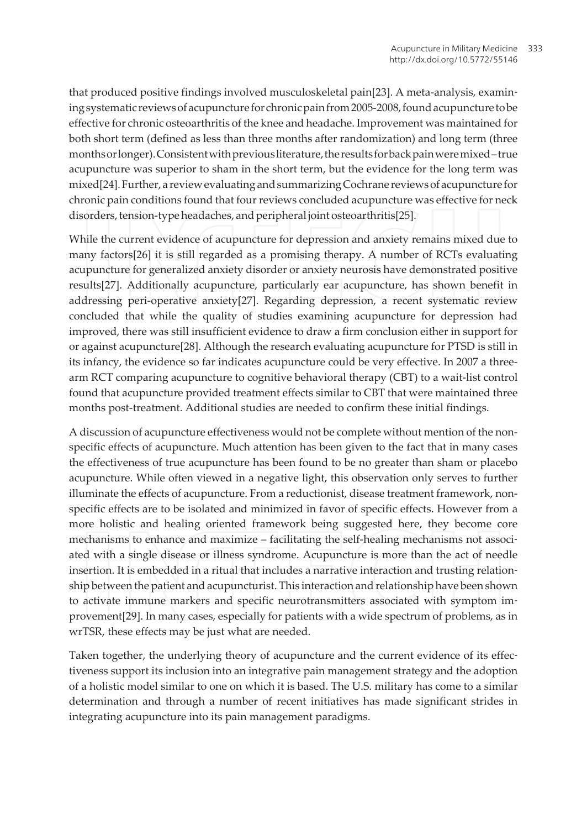that produced positive findings involved musculoskeletal pain[23]. A meta-analysis, examining systematic reviews of acupuncture for chronic pain from 2005-2008, found acupuncture to be effective for chronic osteoarthritis of the knee and headache. Improvement was maintained for both short term (defined as less than three months after randomization) and long term (three months or longer). Consistent with previous literature, the results for back pain were mixed-true acupuncture was superior to sham in the short term, but the evidence for the long term was mixed[24]. Further, a review evaluating and summarizing Cochrane reviews of acupuncture for chronic pain conditions found that four reviews concluded acupuncture was effective for neck disorders, tension-type headaches, and peripheral joint osteoarthritis[25].

While the current evidence of acupuncture for depression and anxiety remains mixed due to many factors[26] it is still regarded as a promising therapy. A number of RCTs evaluating acupuncture for generalized anxiety disorder or anxiety neurosis have demonstrated positive results[27]. Additionally acupuncture, particularly ear acupuncture, has shown benefit in addressing peri-operative anxiety[27]. Regarding depression, a recent systematic review concluded that while the quality of studies examining acupuncture for depression had improved, there was still insufficient evidence to draw a firm conclusion either in support for or against acupuncture[28]. Although the research evaluating acupuncture for PTSD is still in its infancy, the evidence so far indicates acupuncture could be very effective. In 2007 a threearm RCT comparing acupuncture to cognitive behavioral therapy (CBT) to a wait-list control found that acupuncture provided treatment effects similar to CBT that were maintained three months post-treatment. Additional studies are needed to confirm these initial findings.

A discussion of acupuncture effectiveness would not be complete without mention of the nonspecific effects of acupuncture. Much attention has been given to the fact that in many cases the effectiveness of true acupuncture has been found to be no greater than sham or placebo acupuncture. While often viewed in a negative light, this observation only serves to further illuminate the effects of acupuncture. From a reductionist, disease treatment framework, nonspecific effects are to be isolated and minimized in favor of specific effects. However from a more holistic and healing oriented framework being suggested here, they become core mechanisms to enhance and maximize – facilitating the self-healing mechanisms not associated with a single disease or illness syndrome. Acupuncture is more than the act of needle insertion. It is embedded in a ritual that includes a narrative interaction and trusting relationship between the patient and acupuncturist. This interaction and relationship have been shown to activate immune markers and specific neurotransmitters associated with symptom improvement[29]. In many cases, especially for patients with a wide spectrum of problems, as in wrTSR, these effects may be just what are needed.

Taken together, the underlying theory of acupuncture and the current evidence of its effectiveness support its inclusion into an integrative pain management strategy and the adoption of a holistic model similar to one on which it is based. The U.S. military has come to a similar determination and through a number of recent initiatives has made significant strides in integrating acupuncture into its pain management paradigms.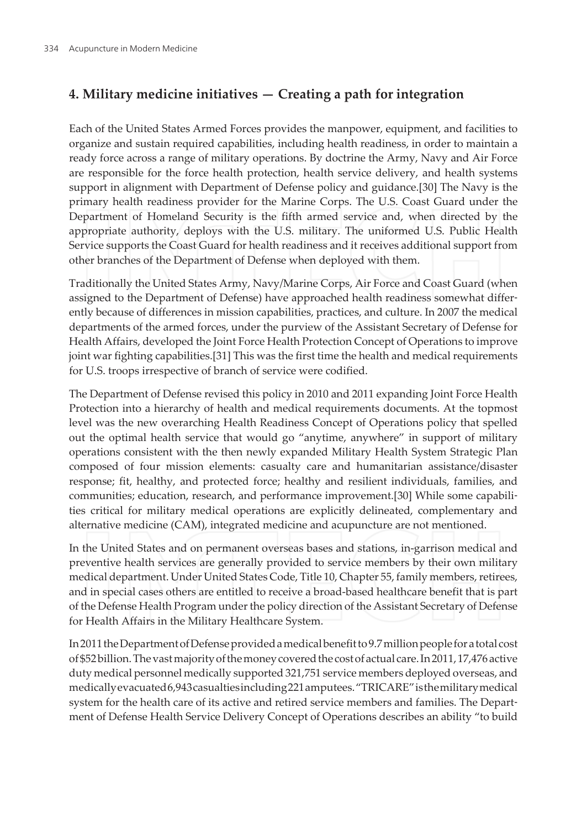# 4. Military medicine initiatives  $-$  Creating a path for integration

Each of the United States Armed Forces provides the manpower, equipment, and facilities to organize and sustain required capabilities, including health readiness, in order to maintain a ready force across a range of military operations. By doctrine the Army, Navy and Air Force are responsible for the force health protection, health service delivery, and health systems support in alignment with Department of Defense policy and guidance.[30] The Navy is the primary health readiness provider for the Marine Corps. The U.S. Coast Guard under the Department of Homeland Security is the fifth armed service and, when directed by the appropriate authority, deploys with the U.S. military. The uniformed U.S. Public Health Service supports the Coast Guard for health readiness and it receives additional support from other branches of the Department of Defense when deployed with them.

Traditionally the United States Army, Navy/Marine Corps, Air Force and Coast Guard (when assigned to the Department of Defense) have approached health readiness somewhat differently because of differences in mission capabilities, practices, and culture. In 2007 the medical departments of the armed forces, under the purview of the Assistant Secretary of Defense for Health Affairs, developed the Joint Force Health Protection Concept of Operations to improve joint war fighting capabilities.[31] This was the first time the health and medical requirements for U.S. troops irrespective of branch of service were codified.

The Department of Defense revised this policy in 2010 and 2011 expanding Joint Force Health Protection into a hierarchy of health and medical requirements documents. At the topmost level was the new overarching Health Readiness Concept of Operations policy that spelled out the optimal health service that would go "anytime, anywhere" in support of military operations consistent with the then newly expanded Military Health System Strategic Plan composed of four mission elements: casualty care and humanitarian assistance/disaster response; fit, healthy, and protected force; healthy and resilient individuals, families, and communities; education, research, and performance improvement.[30] While some capabilities critical for military medical operations are explicitly delineated, complementary and alternative medicine (CAM), integrated medicine and acupuncture are not mentioned.

In the United States and on permanent overseas bases and stations, in-garrison medical and preventive health services are generally provided to service members by their own military medical department. Under United States Code, Title 10, Chapter 55, family members, retirees, and in special cases others are entitled to receive a broad-based healthcare benefit that is part of the Defense Health Program under the policy direction of the Assistant Secretary of Defense for Health Affairs in the Military Healthcare System.

In 2011 the Department of Defense provided a medical benefit to 9.7 million people for a total cost of \$52 billion. The vast majority of the money covered the cost of actual care. In 2011, 17,476 active duty medical personnel medically supported 321,751 service members deployed overseas, and medicallyevacuated6,943 casualties including 221 amputees. "TRICARE" is the military medical system for the health care of its active and retired service members and families. The Department of Defense Health Service Delivery Concept of Operations describes an ability "to build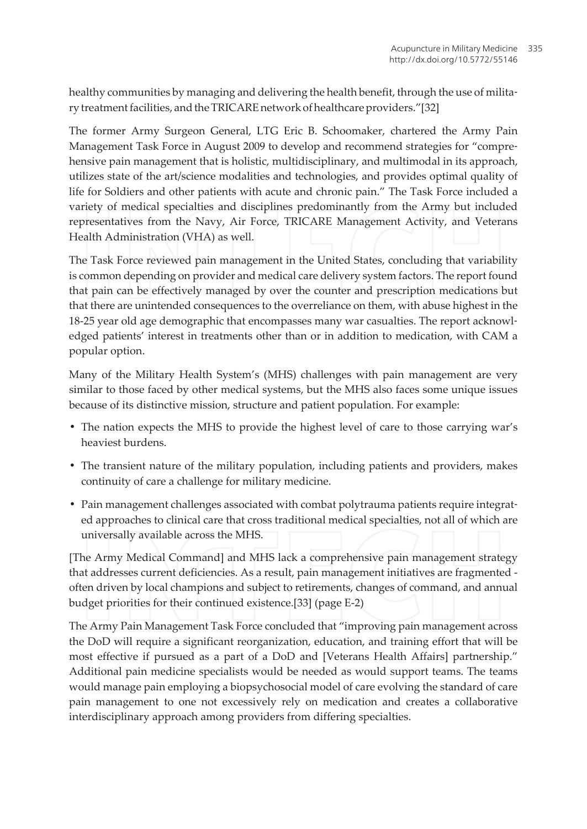healthy communities by managing and delivering the health benefit, through the use of military treatment facilities, and the TRICARE network of healthcare providers."[32]

The former Army Surgeon General, LTG Eric B. Schoomaker, chartered the Army Pain Management Task Force in August 2009 to develop and recommend strategies for "comprehensive pain management that is holistic, multidisciplinary, and multimodal in its approach, utilizes state of the art/science modalities and technologies, and provides optimal quality of life for Soldiers and other patients with acute and chronic pain." The Task Force included a variety of medical specialties and disciplines predominantly from the Army but included representatives from the Navy, Air Force, TRICARE Management Activity, and Veterans Health Administration (VHA) as well.

The Task Force reviewed pain management in the United States, concluding that variability is common depending on provider and medical care delivery system factors. The report found that pain can be effectively managed by over the counter and prescription medications but that there are unintended consequences to the overreliance on them, with abuse highest in the 18-25 year old age demographic that encompasses many war casualties. The report acknowledged patients' interest in treatments other than or in addition to medication, with CAM a popular option.

Many of the Military Health System's (MHS) challenges with pain management are very similar to those faced by other medical systems, but the MHS also faces some unique issues because of its distinctive mission, structure and patient population. For example:

- The nation expects the MHS to provide the highest level of care to those carrying war's heaviest burdens.
- The transient nature of the military population, including patients and providers, makes continuity of care a challenge for military medicine.
- Pain management challenges associated with combat polytrauma patients require integrated approaches to clinical care that cross traditional medical specialties, not all of which are universally available across the MHS.

[The Army Medical Command] and MHS lack a comprehensive pain management strategy that addresses current deficiencies. As a result, pain management initiatives are fragmented often driven by local champions and subject to retirements, changes of command, and annual budget priorities for their continued existence.[33] (page E-2)

The Army Pain Management Task Force concluded that "improving pain management across the DoD will require a significant reorganization, education, and training effort that will be most effective if pursued as a part of a DoD and [Veterans Health Affairs] partnership." Additional pain medicine specialists would be needed as would support teams. The teams would manage pain employing a biopsychosocial model of care evolving the standard of care pain management to one not excessively rely on medication and creates a collaborative interdisciplinary approach among providers from differing specialties.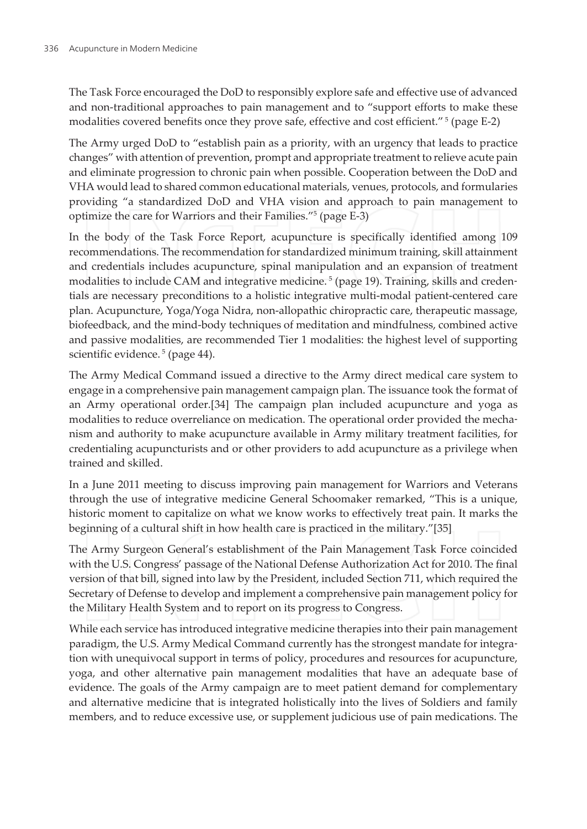The Task Force encouraged the DoD to responsibly explore safe and effective use of advanced and non-traditional approaches to pain management and to "support efforts to make these modalities covered benefits once they prove safe, effective and cost efficient."<sup>5</sup> (page E-2)

The Army urged DoD to "establish pain as a priority, with an urgency that leads to practice changes" with attention of prevention, prompt and appropriate treatment to relieve acute pain and eliminate progression to chronic pain when possible. Cooperation between the DoD and VHA would lead to shared common educational materials, venues, protocols, and formularies providing "a standardized DoD and VHA vision and approach to pain management to optimize the care for Warriors and their Families."<sup>5</sup> (page E-3)

In the body of the Task Force Report, acupuncture is specifically identified among 109 recommendations. The recommendation for standardized minimum training, skill attainment and credentials includes acupuncture, spinal manipulation and an expansion of treatment modalities to include CAM and integrative medicine.<sup>5</sup> (page 19). Training, skills and credentials are necessary preconditions to a holistic integrative multi-modal patient-centered care plan. Acupuncture, Yoga/Yoga Nidra, non-allopathic chiropractic care, therapeutic massage, biofeedback, and the mind-body techniques of meditation and mindfulness, combined active and passive modalities, are recommended Tier 1 modalities: the highest level of supporting scientific evidence.<sup>5</sup> (page 44).

The Army Medical Command issued a directive to the Army direct medical care system to engage in a comprehensive pain management campaign plan. The issuance took the format of an Army operational order.[34] The campaign plan included acupuncture and yoga as modalities to reduce overreliance on medication. The operational order provided the mechanism and authority to make acupuncture available in Army military treatment facilities, for credentialing acupuncturists and or other providers to add acupuncture as a privilege when trained and skilled.

In a June 2011 meeting to discuss improving pain management for Warriors and Veterans through the use of integrative medicine General Schoomaker remarked, "This is a unique, historic moment to capitalize on what we know works to effectively treat pain. It marks the beginning of a cultural shift in how health care is practiced in the military."[35]

The Army Surgeon General's establishment of the Pain Management Task Force coincided with the U.S. Congress' passage of the National Defense Authorization Act for 2010. The final version of that bill, signed into law by the President, included Section 711, which required the Secretary of Defense to develop and implement a comprehensive pain management policy for the Military Health System and to report on its progress to Congress.

While each service has introduced integrative medicine therapies into their pain management paradigm, the U.S. Army Medical Command currently has the strongest mandate for integration with unequivocal support in terms of policy, procedures and resources for acupuncture, yoga, and other alternative pain management modalities that have an adequate base of evidence. The goals of the Army campaign are to meet patient demand for complementary and alternative medicine that is integrated holistically into the lives of Soldiers and family members, and to reduce excessive use, or supplement judicious use of pain medications. The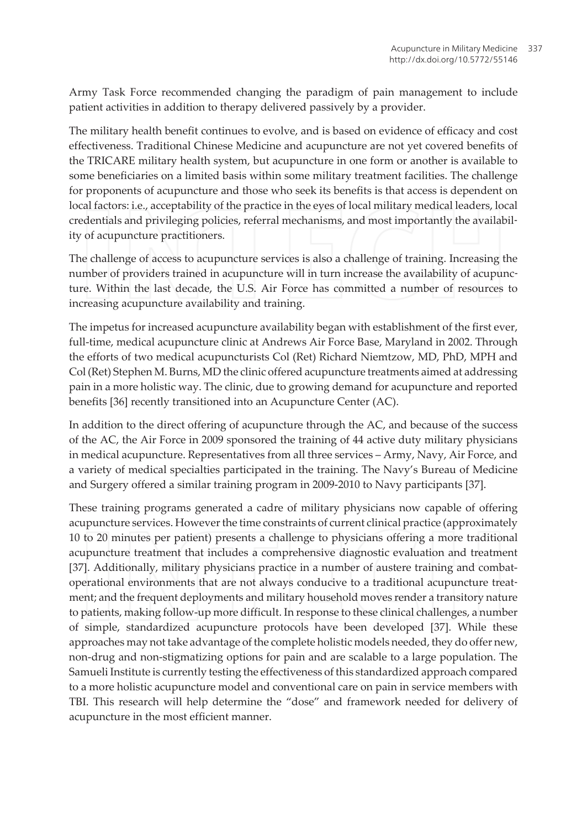Army Task Force recommended changing the paradigm of pain management to include patient activities in addition to therapy delivered passively by a provider.

The military health benefit continues to evolve, and is based on evidence of efficacy and cost effectiveness. Traditional Chinese Medicine and acupuncture are not yet covered benefits of the TRICARE military health system, but acupuncture in one form or another is available to some beneficiaries on a limited basis within some military treatment facilities. The challenge for proponents of acupuncture and those who seek its benefits is that access is dependent on local factors: i.e., acceptability of the practice in the eyes of local military medical leaders, local credentials and privileging policies, referral mechanisms, and most importantly the availability of acupuncture practitioners.

The challenge of access to acupuncture services is also a challenge of training. Increasing the number of providers trained in acupuncture will in turn increase the availability of acupuncture. Within the last decade, the U.S. Air Force has committed a number of resources to increasing acupuncture availability and training.

The impetus for increased acupuncture availability began with establishment of the first ever, full-time, medical acupuncture clinic at Andrews Air Force Base, Maryland in 2002. Through the efforts of two medical acupuncturists Col (Ret) Richard Niemtzow, MD, PhD, MPH and Col (Ret) Stephen M. Burns, MD the clinic offered acupuncture treatments aimed at addressing pain in a more holistic way. The clinic, due to growing demand for acupuncture and reported benefits [36] recently transitioned into an Acupuncture Center (AC).

In addition to the direct offering of acupuncture through the AC, and because of the success of the AC, the Air Force in 2009 sponsored the training of 44 active duty military physicians in medical acupuncture. Representatives from all three services - Army, Navy, Air Force, and a variety of medical specialties participated in the training. The Navy's Bureau of Medicine and Surgery offered a similar training program in 2009-2010 to Navy participants [37].

These training programs generated a cadre of military physicians now capable of offering acupuncture services. However the time constraints of current clinical practice (approximately 10 to 20 minutes per patient) presents a challenge to physicians offering a more traditional acupuncture treatment that includes a comprehensive diagnostic evaluation and treatment [37]. Additionally, military physicians practice in a number of austere training and combatoperational environments that are not always conducive to a traditional acupuncture treatment; and the frequent deployments and military household moves render a transitory nature to patients, making follow-up more difficult. In response to these clinical challenges, a number of simple, standardized acupuncture protocols have been developed [37]. While these approaches may not take advantage of the complete holistic models needed, they do offer new, non-drug and non-stigmatizing options for pain and are scalable to a large population. The Samueli Institute is currently testing the effectiveness of this standardized approach compared to a more holistic acupuncture model and conventional care on pain in service members with TBI. This research will help determine the "dose" and framework needed for delivery of acupuncture in the most efficient manner.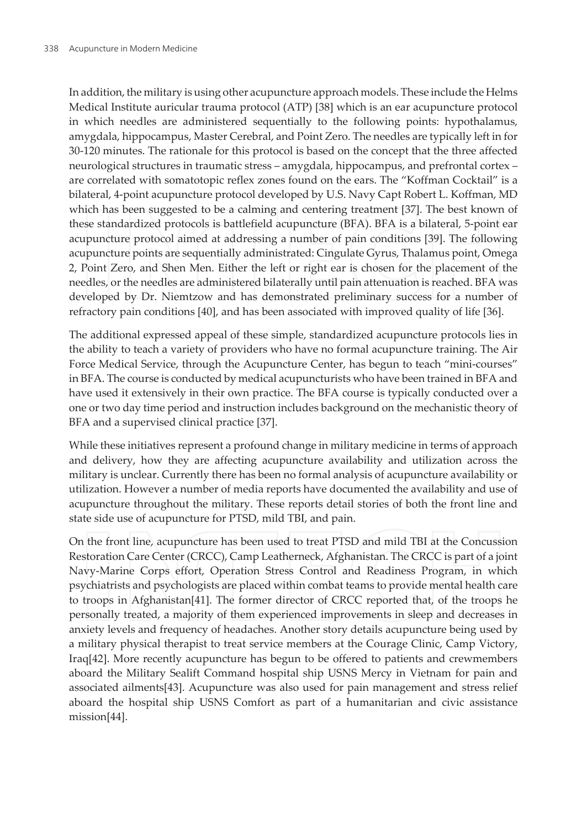In addition, the military is using other acupuncture approach models. These include the Helms Medical Institute auricular trauma protocol (ATP) [38] which is an ear acupuncture protocol in which needles are administered sequentially to the following points: hypothalamus, amygdala, hippocampus, Master Cerebral, and Point Zero. The needles are typically left in for 30-120 minutes. The rationale for this protocol is based on the concept that the three affected neurological structures in traumatic stress – amygdala, hippocampus, and prefrontal cortex – are correlated with somatotopic reflex zones found on the ears. The "Koffman Cocktail" is a bilateral, 4-point acupuncture protocol developed by U.S. Navy Capt Robert L. Koffman, MD which has been suggested to be a calming and centering treatment [37]. The best known of these standardized protocols is battlefield acupuncture (BFA). BFA is a bilateral, 5-point ear acupuncture protocol aimed at addressing a number of pain conditions [39]. The following acupuncture points are sequentially administrated: Cingulate Gyrus, Thalamus point, Omega 2, Point Zero, and Shen Men. Either the left or right ear is chosen for the placement of the needles, or the needles are administered bilaterally until pain attenuation is reached. BFA was developed by Dr. Niemtzow and has demonstrated preliminary success for a number of refractory pain conditions [40], and has been associated with improved quality of life [36].

The additional expressed appeal of these simple, standardized acupuncture protocols lies in the ability to teach a variety of providers who have no formal acupuncture training. The Air Force Medical Service, through the Acupuncture Center, has begun to teach "mini-courses" in BFA. The course is conducted by medical acupuncturists who have been trained in BFA and have used it extensively in their own practice. The BFA course is typically conducted over a one or two day time period and instruction includes background on the mechanistic theory of BFA and a supervised clinical practice [37].

While these initiatives represent a profound change in military medicine in terms of approach and delivery, how they are affecting acupuncture availability and utilization across the military is unclear. Currently there has been no formal analysis of acupuncture availability or utilization. However a number of media reports have documented the availability and use of acupuncture throughout the military. These reports detail stories of both the front line and state side use of acupuncture for PTSD, mild TBI, and pain.

On the front line, acupuncture has been used to treat PTSD and mild TBI at the Concussion Restoration Care Center (CRCC), Camp Leatherneck, Afghanistan. The CRCC is part of a joint Navy-Marine Corps effort, Operation Stress Control and Readiness Program, in which psychiatrists and psychologists are placed within combat teams to provide mental health care to troops in Afghanistan<sup>[41]</sup>. The former director of CRCC reported that, of the troops he personally treated, a majority of them experienced improvements in sleep and decreases in anxiety levels and frequency of headaches. Another story details acupuncture being used by a military physical therapist to treat service members at the Courage Clinic, Camp Victory, Iraq[42]. More recently acupuncture has begun to be offered to patients and crewmembers aboard the Military Sealift Command hospital ship USNS Mercy in Vietnam for pain and associated ailments[43]. Acupuncture was also used for pain management and stress relief aboard the hospital ship USNS Comfort as part of a humanitarian and civic assistance mission[44].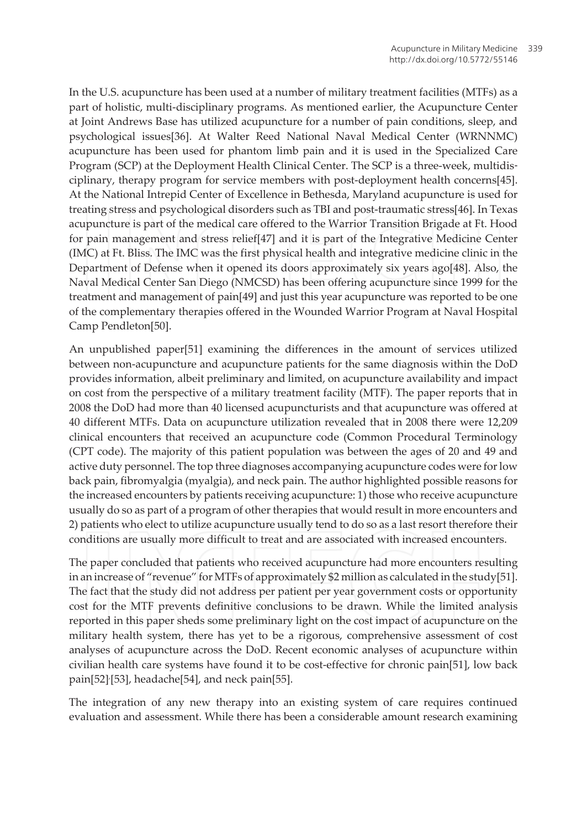In the U.S. acupuncture has been used at a number of military treatment facilities (MTFs) as a part of holistic, multi-disciplinary programs. As mentioned earlier, the Acupuncture Center at Joint Andrews Base has utilized acupuncture for a number of pain conditions, sleep, and psychological issues[36]. At Walter Reed National Naval Medical Center (WRNNMC) acupuncture has been used for phantom limb pain and it is used in the Specialized Care Program (SCP) at the Deployment Health Clinical Center. The SCP is a three-week, multidisciplinary, therapy program for service members with post-deployment health concerns[45]. At the National Intrepid Center of Excellence in Bethesda, Maryland acupuncture is used for treating stress and psychological disorders such as TBI and post-traumatic stress[46]. In Texas acupuncture is part of the medical care offered to the Warrior Transition Brigade at Ft. Hood for pain management and stress relief[47] and it is part of the Integrative Medicine Center (IMC) at Ft. Bliss. The IMC was the first physical health and integrative medicine clinic in the Department of Defense when it opened its doors approximately six years ago[48]. Also, the Naval Medical Center San Diego (NMCSD) has been offering acupuncture since 1999 for the treatment and management of pain[49] and just this year acupuncture was reported to be one of the complementary therapies offered in the Wounded Warrior Program at Naval Hospital Camp Pendleton[50].

An unpublished paper[51] examining the differences in the amount of services utilized between non-acupuncture and acupuncture patients for the same diagnosis within the DoD provides information, albeit preliminary and limited, on acupuncture availability and impact on cost from the perspective of a military treatment facility (MTF). The paper reports that in 2008 the DoD had more than 40 licensed acupuncturists and that acupuncture was offered at 40 different MTFs. Data on acupuncture utilization revealed that in 2008 there were 12,209 clinical encounters that received an acupuncture code (Common Procedural Terminology (CPT code). The majority of this patient population was between the ages of 20 and 49 and active duty personnel. The top three diagnoses accompanying acupuncture codes were for low back pain, fibromyalgia (myalgia), and neck pain. The author highlighted possible reasons for the increased encounters by patients receiving acupuncture: 1) those who receive acupuncture usually do so as part of a program of other therapies that would result in more encounters and 2) patients who elect to utilize acupuncture usually tend to do so as a last resort therefore their conditions are usually more difficult to treat and are associated with increased encounters.

The paper concluded that patients who received acupuncture had more encounters resulting in an increase of "revenue" for MTFs of approximately \$2 million as calculated in the study [51]. The fact that the study did not address per patient per year government costs or opportunity cost for the MTF prevents definitive conclusions to be drawn. While the limited analysis reported in this paper sheds some preliminary light on the cost impact of acupuncture on the military health system, there has yet to be a rigorous, comprehensive assessment of cost analyses of acupuncture across the DoD. Recent economic analyses of acupuncture within civilian health care systems have found it to be cost-effective for chronic pain[51], low back pain[52] [53], headache[54], and neck pain[55].

The integration of any new therapy into an existing system of care requires continued evaluation and assessment. While there has been a considerable amount research examining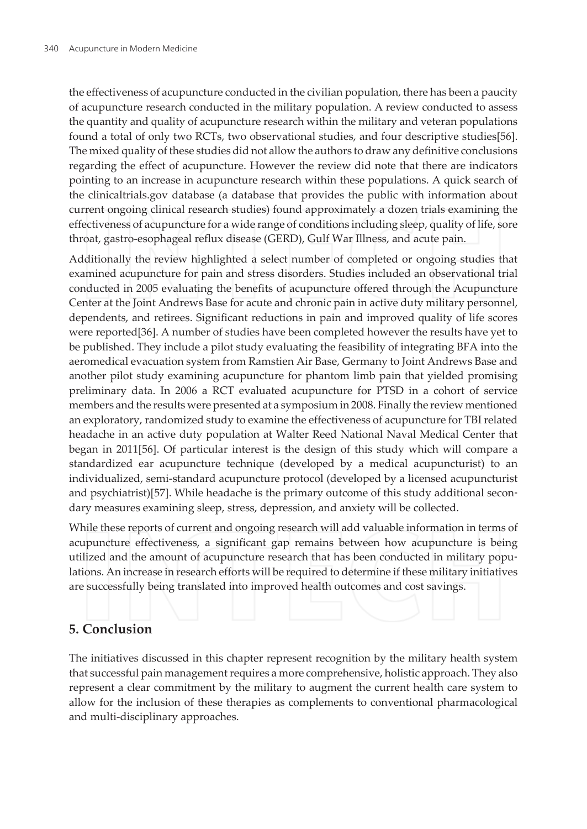the effectiveness of acupuncture conducted in the civilian population, there has been a paucity of acupuncture research conducted in the military population. A review conducted to assess the quantity and quality of acupuncture research within the military and veteran populations found a total of only two RCTs, two observational studies, and four descriptive studies[56]. The mixed quality of these studies did not allow the authors to draw any definitive conclusions regarding the effect of acupuncture. However the review did note that there are indicators pointing to an increase in acupuncture research within these populations. A quick search of the clinicaltrials.gov database (a database that provides the public with information about current ongoing clinical research studies) found approximately a dozen trials examining the effectiveness of acupuncture for a wide range of conditions including sleep, quality of life, sore throat, gastro-esophageal reflux disease (GERD), Gulf War Illness, and acute pain.

Additionally the review highlighted a select number of completed or ongoing studies that examined acupuncture for pain and stress disorders. Studies included an observational trial conducted in 2005 evaluating the benefits of acupuncture offered through the Acupuncture Center at the Joint Andrews Base for acute and chronic pain in active duty military personnel, dependents, and retirees. Significant reductions in pain and improved quality of life scores were reported[36]. A number of studies have been completed however the results have yet to be published. They include a pilot study evaluating the feasibility of integrating BFA into the aeromedical evacuation system from Ramstien Air Base, Germany to Joint Andrews Base and another pilot study examining acupuncture for phantom limb pain that yielded promising preliminary data. In 2006 a RCT evaluated acupuncture for PTSD in a cohort of service members and the results were presented at a symposium in 2008. Finally the review mentioned an exploratory, randomized study to examine the effectiveness of acupuncture for TBI related headache in an active duty population at Walter Reed National Naval Medical Center that began in 2011[56]. Of particular interest is the design of this study which will compare a standardized ear acupuncture technique (developed by a medical acupuncturist) to an individualized, semi-standard acupuncture protocol (developed by a licensed acupuncturist and psychiatrist)[57]. While headache is the primary outcome of this study additional secondary measures examining sleep, stress, depression, and anxiety will be collected.

While these reports of current and ongoing research will add valuable information in terms of acupuncture effectiveness, a significant gap remains between how acupuncture is being utilized and the amount of acupuncture research that has been conducted in military populations. An increase in research efforts will be required to determine if these military initiatives are successfully being translated into improved health outcomes and cost savings.

#### 5. Conclusion

The initiatives discussed in this chapter represent recognition by the military health system that successful pain management requires a more comprehensive, holistic approach. They also represent a clear commitment by the military to augment the current health care system to allow for the inclusion of these therapies as complements to conventional pharmacological and multi-disciplinary approaches.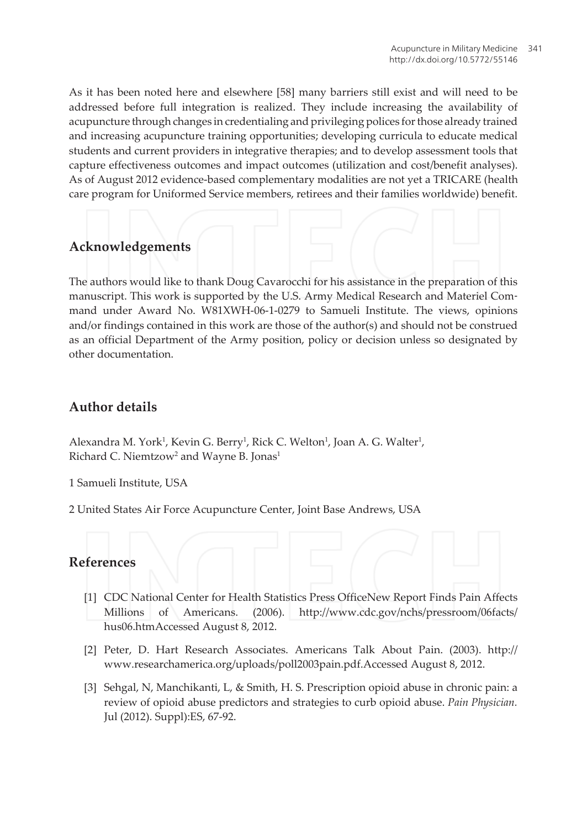As it has been noted here and elsewhere [58] many barriers still exist and will need to be addressed before full integration is realized. They include increasing the availability of acupuncture through changes in credentialing and privileging polices for those already trained and increasing acupuncture training opportunities; developing curricula to educate medical students and current providers in integrative therapies; and to develop assessment tools that capture effectiveness outcomes and impact outcomes (utilization and cost/benefit analyses). As of August 2012 evidence-based complementary modalities are not yet a TRICARE (health care program for Uniformed Service members, retirees and their families worldwide) benefit.

### Acknowledgements

The authors would like to thank Doug Cavarocchi for his assistance in the preparation of this manuscript. This work is supported by the U.S. Army Medical Research and Materiel Command under Award No. W81XWH-06-1-0279 to Samueli Institute. The views, opinions and/or findings contained in this work are those of the author(s) and should not be construed as an official Department of the Army position, policy or decision unless so designated by other documentation

#### Author details

Alexandra M. York<sup>1</sup>, Kevin G. Berry<sup>1</sup>, Rick C. Welton<sup>1</sup>, Joan A. G. Walter<sup>1</sup>, Richard C. Niemtzow<sup>2</sup> and Wayne B. Jonas<sup>1</sup>

1 Samueli Institute, USA

2 United States Air Force Acupuncture Center, Joint Base Andrews, USA

#### **References**

- [1] CDC National Center for Health Statistics Press OfficeNew Report Finds Pain Affects **Millions** of Americans.  $(2006).$ http://www.cdc.gov/nchs/pressroom/06facts/ hus06.htmAccessed August 8, 2012.
- [2] Peter, D. Hart Research Associates. Americans Talk About Pain. (2003). http:// www.researchamerica.org/uploads/poll2003pain.pdf.Accessed August 8, 2012.
- [3] Sehgal, N, Manchikanti, L, & Smith, H. S. Prescription opioid abuse in chronic pain: a review of opioid abuse predictors and strategies to curb opioid abuse. Pain Physician. Jul (2012). Suppl): ES, 67-92.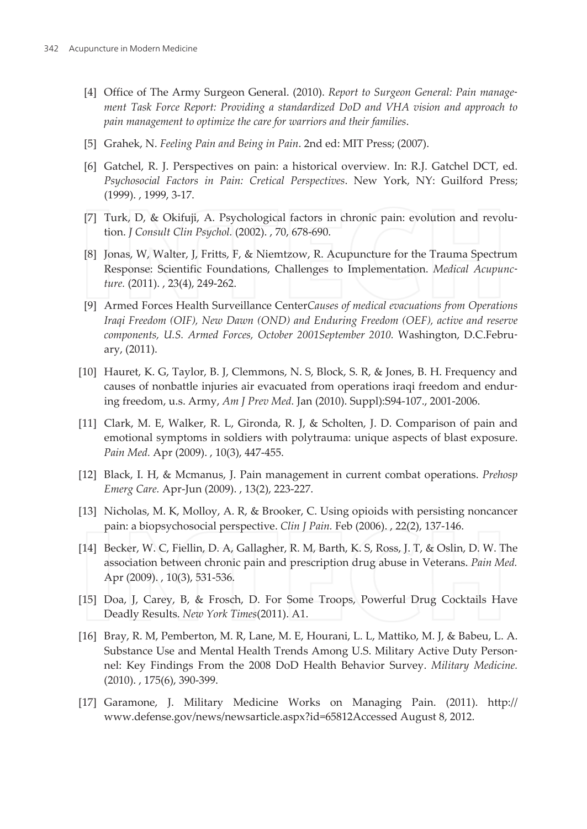- [4] Office of The Army Surgeon General. (2010). Report to Surgeon General: Pain management Task Force Report: Providing a standardized DoD and VHA vision and approach to pain management to optimize the care for warriors and their families.
- [5] Grahek, N. Feeling Pain and Being in Pain. 2nd ed: MIT Press; (2007).
- [6] Gatchel, R. J. Perspectives on pain: a historical overview. In: R.J. Gatchel DCT, ed. Psychosocial Factors in Pain: Cretical Perspectives. New York, NY: Guilford Press; (1999)., 1999, 3-17.
- [7] Turk, D, & Okifuji, A. Psychological factors in chronic pain: evolution and revolution. J Consult Clin Psychol. (2002). , 70, 678-690.
- [8] Jonas, W, Walter, J, Fritts, F, & Niemtzow, R. Acupuncture for the Trauma Spectrum Response: Scientific Foundations, Challenges to Implementation. Medical Acupuncture. (2011)., 23(4), 249-262.
- [9] Armed Forces Health Surveillance CenterCauses of medical evacuations from Operations Iraqi Freedom (OIF), New Dawn (OND) and Enduring Freedom (OEF), active and reserve components, U.S. Armed Forces, October 2001September 2010. Washington, D.C.February, (2011).
- [10] Hauret, K. G, Taylor, B. J, Clemmons, N. S, Block, S. R, & Jones, B. H. Frequency and causes of nonbattle injuries air evacuated from operations iraqi freedom and enduring freedom, u.s. Army, Am J Prev Med. Jan (2010). Suppl): S94-107., 2001-2006.
- [11] Clark, M. E, Walker, R. L, Gironda, R. J, & Scholten, J. D. Comparison of pain and emotional symptoms in soldiers with polytrauma: unique aspects of blast exposure. Pain Med. Apr (2009)., 10(3), 447-455.
- [12] Black, I. H, & Mcmanus, J. Pain management in current combat operations. Prehosp Emerg Care. Apr-Jun (2009)., 13(2), 223-227.
- [13] Nicholas, M. K, Molloy, A. R, & Brooker, C. Using opioids with persisting noncancer pain: a biopsychosocial perspective. Clin J Pain. Feb (2006). , 22(2), 137-146.
- [14] Becker, W. C, Fiellin, D. A, Gallagher, R. M, Barth, K. S, Ross, J. T, & Oslin, D. W. The association between chronic pain and prescription drug abuse in Veterans. Pain Med. Apr (2009)., 10(3), 531-536.
- [15] Doa, J, Carey, B, & Frosch, D. For Some Troops, Powerful Drug Cocktails Have Deadly Results. New York Times(2011). A1.
- [16] Bray, R. M, Pemberton, M. R, Lane, M. E, Hourani, L. L, Mattiko, M. J, & Babeu, L. A. Substance Use and Mental Health Trends Among U.S. Military Active Duty Personnel: Key Findings From the 2008 DoD Health Behavior Survey. Military Medicine.  $(2010)$ ., 175 $(6)$ , 390-399.
- [17] Garamone, J. Military Medicine Works on Managing Pain. (2011). http:// www.defense.gov/news/newsarticle.aspx?id=65812Accessed August 8, 2012.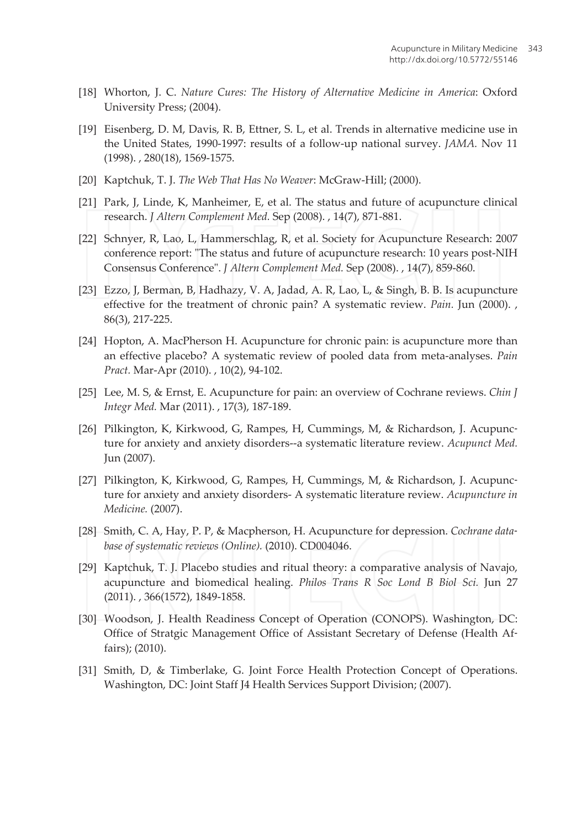- [18] Whorton, J. C. Nature Cures: The History of Alternative Medicine in America: Oxford University Press; (2004).
- [19] Eisenberg, D. M. Davis, R. B. Ettner, S. L. et al. Trends in alternative medicine use in the United States, 1990-1997; results of a follow-up national survey, *IAMA*. Nov 11  $(1998)$ .,  $280(18)$ ,  $1569-1575$ .
- [20] Kaptchuk, T. J. The Web That Has No Weaver: McGraw-Hill; (2000).
- [21] Park, J, Linde, K, Manheimer, E, et al. The status and future of acupuncture clinical research. J Altern Complement Med. Sep (2008). , 14(7), 871-881.
- [22] Schnyer, R, Lao, L, Hammerschlag, R, et al. Society for Acupuncture Research: 2007 conference report: "The status and future of acupuncture research: 10 years post-NIH Consensus Conference". J Altern Complement Med. Sep (2008)., 14(7), 859-860.
- [23] Ezzo, J, Berman, B, Hadhazy, V. A, Jadad, A. R, Lao, L, & Singh, B. B. Is acupuncture effective for the treatment of chronic pain? A systematic review. Pain. Jun (2000). 86(3), 217-225.
- [24] Hopton, A. MacPherson H. Acupuncture for chronic pain: is acupuncture more than an effective placebo? A systematic review of pooled data from meta-analyses. Pain Pract. Mar-Apr (2010)., 10(2), 94-102.
- [25] Lee, M. S, & Ernst, E. Acupuncture for pain: an overview of Cochrane reviews. Chin J Integr Med. Mar (2011)., 17(3), 187-189.
- [26] Pilkington, K, Kirkwood, G, Rampes, H, Cummings, M, & Richardson, J. Acupuncture for anxiety and anxiety disorders--a systematic literature review. Acupunct Med. Jun (2007).
- [27] Pilkington, K, Kirkwood, G, Rampes, H, Cummings, M, & Richardson, J. Acupuncture for anxiety and anxiety disorders- A systematic literature review. Acupuncture in Medicine. (2007).
- [28] Smith, C. A, Hay, P. P, & Macpherson, H. Acupuncture for depression. Cochrane database of systematic reviews (Online). (2010). CD004046.
- [29] Kaptchuk, T. J. Placebo studies and ritual theory: a comparative analysis of Navajo, acupuncture and biomedical healing. Philos Trans R Soc Lond B Biol Sci. Jun 27 (2011)., 366(1572), 1849-1858.
- [30] Woodson, J. Health Readiness Concept of Operation (CONOPS). Washington, DC: Office of Stratgic Management Office of Assistant Secretary of Defense (Health Affairs); (2010).
- [31] Smith, D, & Timberlake, G. Joint Force Health Protection Concept of Operations. Washington, DC: Joint Staff J4 Health Services Support Division; (2007).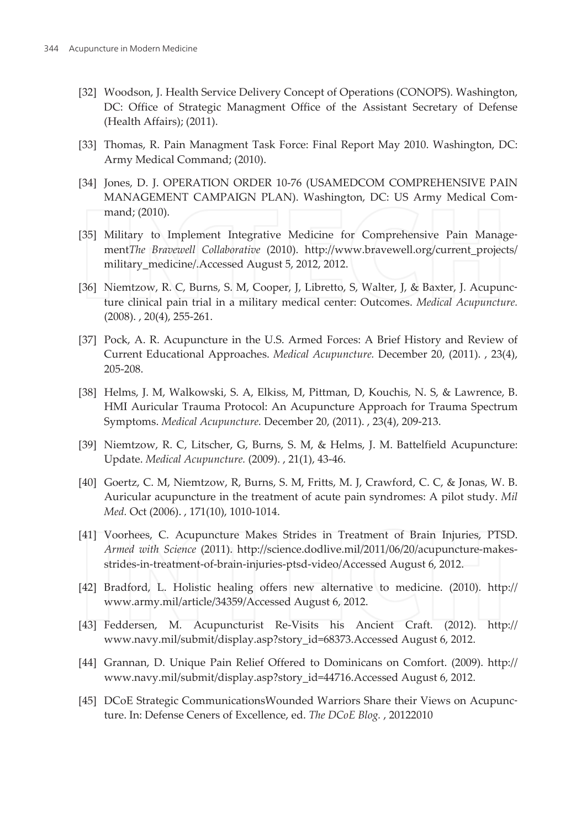- [32] Woodson, J. Health Service Delivery Concept of Operations (CONOPS). Washington, DC: Office of Strategic Managment Office of the Assistant Secretary of Defense (Health Affairs); (2011).
- [33] Thomas, R. Pain Managment Task Force: Final Report May 2010. Washington, DC: Army Medical Command; (2010).
- [34] Jones, D. J. OPERATION ORDER 10-76 (USAMEDCOM COMPREHENSIVE PAIN MANAGEMENT CAMPAIGN PLAN). Washington, DC: US Army Medical Command; (2010).
- [35] Military to Implement Integrative Medicine for Comprehensive Pain ManagementThe Bravewell Collaborative (2010). http://www.bravewell.org/current projects/ military medicine/.Accessed August 5, 2012, 2012.
- [36] Niemtzow, R. C, Burns, S. M, Cooper, J, Libretto, S, Walter, J, & Baxter, J. Acupuncture clinical pain trial in a military medical center: Outcomes. Medical Acupuncture.  $(2008)$ .,  $20(4)$ ,  $255-261$ .
- [37] Pock, A. R. Acupuncture in the U.S. Armed Forces: A Brief History and Review of Current Educational Approaches. Medical Acupuncture. December 20, (2011). , 23(4), 205-208.
- [38] Helms, J. M, Walkowski, S. A, Elkiss, M, Pittman, D, Kouchis, N. S, & Lawrence, B. HMI Auricular Trauma Protocol: An Acupuncture Approach for Trauma Spectrum Symptoms. Medical Acupuncture. December 20, (2011). , 23(4), 209-213.
- [39] Niemtzow, R. C, Litscher, G, Burns, S. M, & Helms, J. M. Battelfield Acupuncture: Update. Medical Acupuncture. (2009). , 21(1), 43-46.
- [40] Goertz, C. M, Niemtzow, R, Burns, S. M, Fritts, M. J, Crawford, C. C, & Jonas, W. B. Auricular acupuncture in the treatment of acute pain syndromes: A pilot study. Mil Med. Oct (2006)., 171(10), 1010-1014.
- [41] Voorhees, C. Acupuncture Makes Strides in Treatment of Brain Injuries, PTSD. Armed with Science (2011). http://science.dodlive.mil/2011/06/20/acupuncture-makesstrides-in-treatment-of-brain-injuries-ptsd-video/Accessed August 6, 2012.
- [42] Bradford, L. Holistic healing offers new alternative to medicine. (2010). http:// www.army.mil/article/34359/Accessed August 6, 2012.
- [43] Feddersen, M. Acupuncturist Re-Visits his Ancient Craft. (2012). http:// www.navy.mil/submit/display.asp?story\_id=68373.Accessed August 6, 2012.
- [44] Grannan, D. Unique Pain Relief Offered to Dominicans on Comfort. (2009). http:// www.navy.mil/submit/display.asp?story\_id=44716.Accessed August 6, 2012.
- [45] DCoE Strategic Communications Wounded Warriors Share their Views on Acupuncture. In: Defense Ceners of Excellence, ed. The DCoE Blog., 20122010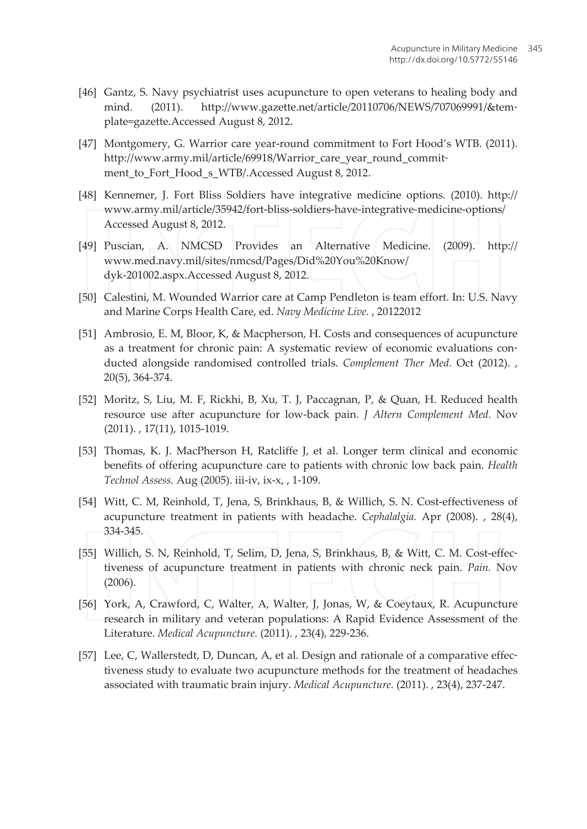- [46] Gantz, S. Navy psychiatrist uses acupuncture to open veterans to healing body and http://www.gazette.net/article/20110706/NEWS/707069991/&tem- $(2011).$ mind. plate=gazette.Accessed August 8, 2012.
- [47] Montgomery, G. Warrior care year-round commitment to Fort Hood's WTB. (2011). http://www.army.mil/article/69918/Warrior care year round commitment to Fort Hood s WTB/.Accessed August 8, 2012.
- [48] Kennemer, J. Fort Bliss Soldiers have integrative medicine options. (2010). http:// www.army.mil/article/35942/fort-bliss-soldiers-have-integrative-medicine-options/ Accessed August 8, 2012.
- [49] Puscian, A. NMCSD Provides an Alternative Medicine.  $(2009)$  http:// www.med.navy.mil/sites/nmcsd/Pages/Did%20You%20Know/ dyk-201002.aspx.Accessed August 8, 2012.
- [50] Calestini, M. Wounded Warrior care at Camp Pendleton is team effort. In: U.S. Navy and Marine Corps Health Care, ed. Navy Medicine Live., 20122012
- [51] Ambrosio, E. M, Bloor, K, & Macpherson, H. Costs and consequences of acupuncture as a treatment for chronic pain: A systematic review of economic evaluations conducted alongside randomised controlled trials. Complement Ther Med. Oct (2012)., 20(5), 364-374.
- [52] Moritz, S, Liu, M. F, Rickhi, B, Xu, T. J, Paccagnan, P, & Quan, H. Reduced health resource use after acupuncture for low-back pain. *J Altern Complement Med.* Nov  $(2011)$ .,  $17(11)$ ,  $1015-1019$ .
- [53] Thomas, K. J. MacPherson H, Ratcliffe J, et al. Longer term clinical and economic benefits of offering acupuncture care to patients with chronic low back pain. Health Technol Assess. Aug (2005). iii-iv, ix-x, , 1-109.
- [54] Witt, C. M, Reinhold, T, Jena, S, Brinkhaus, B, & Willich, S. N. Cost-effectiveness of acupuncture treatment in patients with headache. Cephalalgia. Apr (2008)., 28(4), 334-345.
- [55] Willich, S. N, Reinhold, T, Selim, D, Jena, S, Brinkhaus, B, & Witt, C. M. Cost-effectiveness of acupuncture treatment in patients with chronic neck pain. Pain. Nov  $(2006).$
- [56] York, A, Crawford, C, Walter, A, Walter, J, Jonas, W, & Coeytaux, R. Acupuncture research in military and veteran populations: A Rapid Evidence Assessment of the Literature. Medical Acupuncture. (2011). , 23(4), 229-236.
- [57] Lee, C, Wallerstedt, D, Duncan, A, et al. Design and rationale of a comparative effectiveness study to evaluate two acupuncture methods for the treatment of headaches associated with traumatic brain injury. Medical Acupuncture. (2011). , 23(4), 237-247.